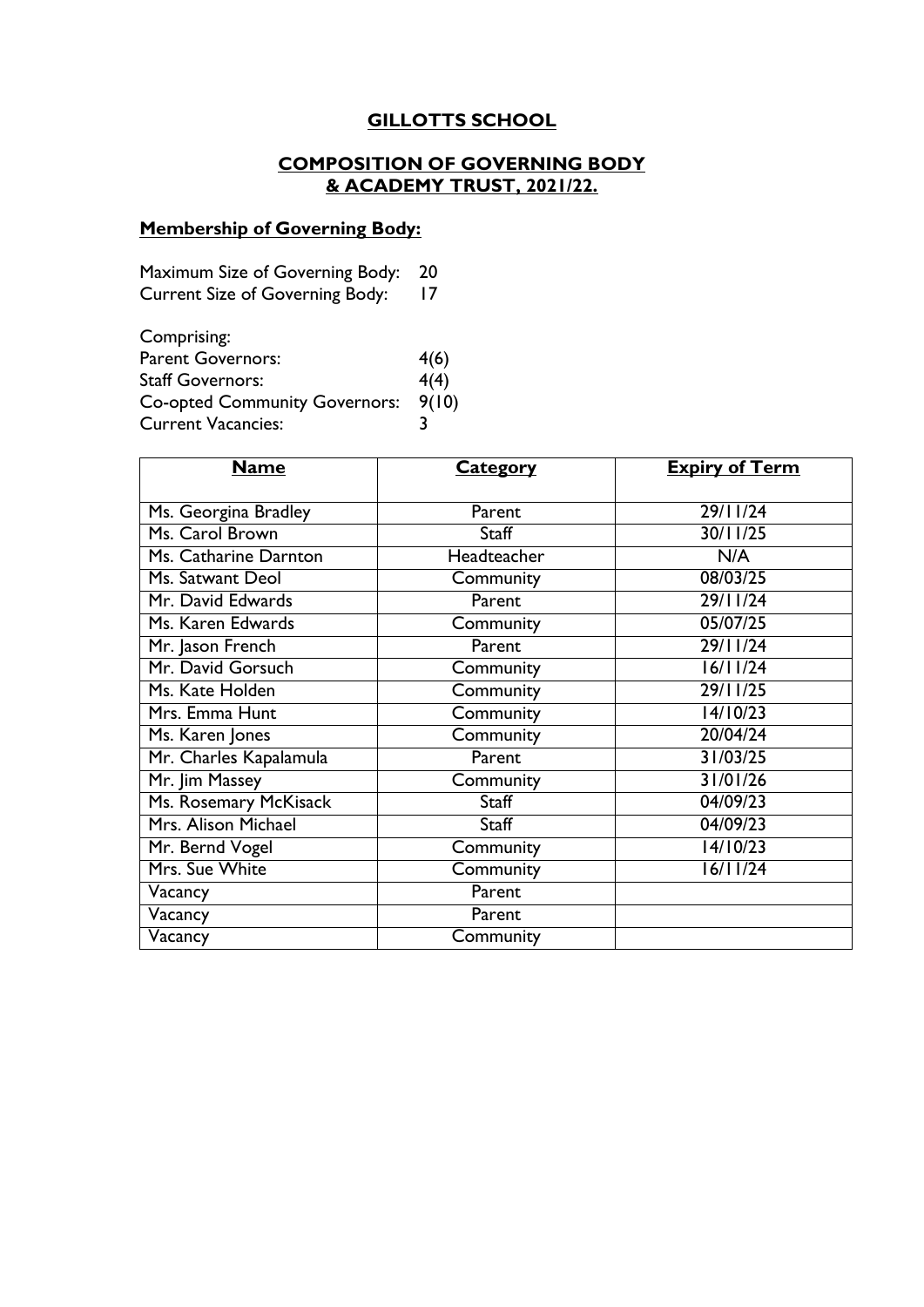# **GILLOTTS SCHOOL**

# **COMPOSITION OF GOVERNING BODY & ACADEMY TRUST, 2021/22.**

# **Membership of Governing Body:**

| Maximum Size of Governing Body: 20     |    |
|----------------------------------------|----|
| <b>Current Size of Governing Body:</b> | 17 |

| Comprising:                          |       |
|--------------------------------------|-------|
| <b>Parent Governors:</b>             | 4(6)  |
| <b>Staff Governors:</b>              | 4(4)  |
| <b>Co-opted Community Governors:</b> | 9(10) |
| <b>Current Vacancies:</b>            |       |

| <b>Name</b>            | <b>Category</b> | <b>Expiry of Term</b> |
|------------------------|-----------------|-----------------------|
|                        |                 |                       |
| Ms. Georgina Bradley   | Parent          | 29/11/24              |
| Ms. Carol Brown        | Staff           | 30/11/25              |
| Ms. Catharine Darnton  | Headteacher     | N/A                   |
| Ms. Satwant Deol       | Community       | 08/03/25              |
| Mr. David Edwards      | Parent          | 29/11/24              |
| Ms. Karen Edwards      | Community       | 05/07/25              |
| Mr. Jason French       | Parent          | 29/11/24              |
| Mr. David Gorsuch      | Community       | 16/11/24              |
| Ms. Kate Holden        | Community       | 29/11/25              |
| Mrs. Emma Hunt         | Community       | 14/10/23              |
| Ms. Karen Jones        | Community       | 20/04/24              |
| Mr. Charles Kapalamula | Parent          | 31/03/25              |
| Mr. Jim Massey         | Community       | 31/01/26              |
| Ms. Rosemary McKisack  | Staff           | 04/09/23              |
| Mrs. Alison Michael    | Staff           | 04/09/23              |
| Mr. Bernd Vogel        | Community       | 14/10/23              |
| Mrs. Sue White         | Community       | 16/11/24              |
| Vacancy                | Parent          |                       |
| Vacancy                | Parent          |                       |
| Vacancy                | Community       |                       |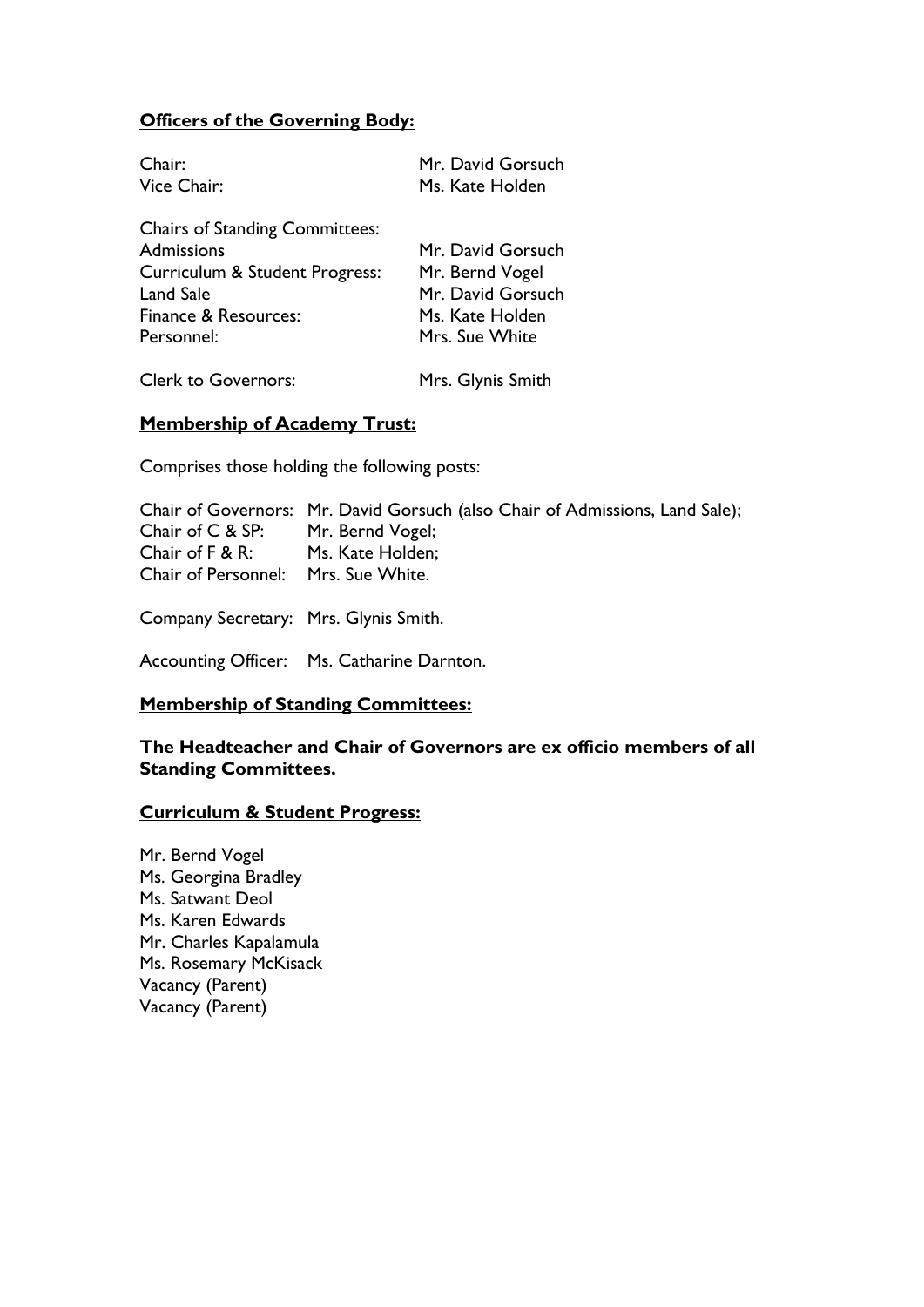## **Officers of the Governing Body:**

| Chair:                                | Mr. David Gorsuch |
|---------------------------------------|-------------------|
| Vice Chair:                           | Ms. Kate Holden   |
| <b>Chairs of Standing Committees:</b> |                   |
| Admissions                            | Mr. David Gorsuch |
| Curriculum & Student Progress:        | Mr. Bernd Vogel   |
| Land Sale                             | Mr. David Gorsuch |
| Finance & Resources:                  | Ms. Kate Holden   |
| Personnel:                            | Mrs. Sue White    |
| <b>Clerk to Governors:</b>            | Mrs. Glynis Smith |

#### **Membership of Academy Trust:**

Comprises those holding the following posts:

|                                       | Chair of Governors: Mr. David Gorsuch (also Chair of Admissions, Land Sale); |
|---------------------------------------|------------------------------------------------------------------------------|
| Chair of C & SP:                      | Mr. Bernd Vogel;                                                             |
| Chair of $F & R$ :                    | Ms. Kate Holden;                                                             |
| Chair of Personnel: Mrs. Sue White.   |                                                                              |
|                                       |                                                                              |
| Company Secretary: Mrs. Glynis Smith. |                                                                              |

Accounting Officer: Ms. Catharine Darnton.

#### **Membership of Standing Committees:**

**The Headteacher and Chair of Governors are ex officio members of all Standing Committees.**

#### **Curriculum & Student Progress:**

Mr. Bernd Vogel Ms. Georgina Bradley Ms. Satwant Deol Ms. Karen Edwards Mr. Charles Kapalamula Ms. Rosemary McKisack Vacancy (Parent) Vacancy (Parent)